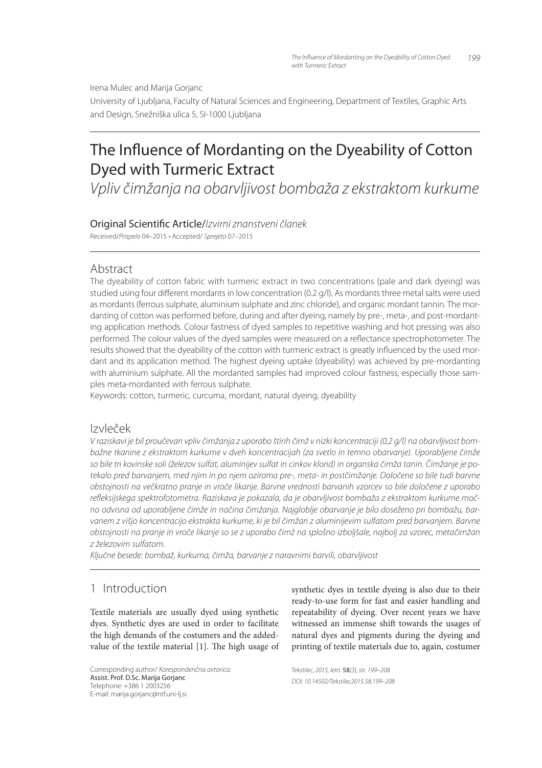Irena Mulec and Marija Gorjanc

University of Ljubljana, Faculty of Natural Sciences and Engineering, Department of Textiles, Graphic Arts and Design, Snežniška ulica 5, SI-1000 Ljubljana

# The Influence of Mordanting on the Dyeability of Cotton Dyed with Turmeric Extract

*Vpliv čimžanja na obarvljivost bombaža z ekstraktom kurkume*

# Original Scienti" c Article/*Izvirni znanstveni članek*

Received/*Prispelo* 04–2015 • Accepted/ *Sprejeto* 07–2015

# Abstract

The dyeability of cotton fabric with turmeric extract in two concentrations (pale and dark dyeing) was studied using four different mordants in low concentration (0.2 g/l). As mordants three metal salts were used as mordants (ferrous sulphate, aluminium sulphate and zinc chloride), and organic mordant tannin. The mordanting of cotton was performed before, during and after dyeing, namely by pre-, meta-, and post-mordanting application methods. Colour fastness of dyed samples to repetitive washing and hot pressing was also performed. The colour values of the dyed samples were measured on a reflectance spectrophotometer. The results showed that the dyeability of the cotton with turmeric extract is greatly influenced by the used mordant and its application method. The highest dyeing uptake (dyeability) was achieved by pre-mordanting with aluminium sulphate. All the mordanted samples had improved colour fastness, especially those samples meta-mordanted with ferrous sulphate.

Keywords: cotton, turmeric, curcuma, mordant, natural dyeing, dyeability

## Izvleček

*V raziskavi je bil proučevan vpliv čimžanja z uporabo štirih čimž v nizki koncentraciji (0,2 g/l) na obarvljivost bombažne tkanine z ekstraktom kurkume v dveh koncentracijah (za svetlo in temno obarvanje). Uporabljene čimže so bile tri kovinske soli (železov sulfat, aluminijev sulfat in cinkov klorid) in organska čimža tanin. Čimžanje je potekalo pred barvanjem, med njim in po njem oziroma pre-, meta- in postčimžanje. Določene so bile tudi barvne obstojnosti na večkratno pranje in vroče likanje. Barvne vrednosti barvanih vzorcev so bile določene z uporabo*  refleksijskega spektrofotometra. Raziskava je pokazala, da je obarvljivost bombaža z ekstraktom kurkume moč*no odvisna od uporabljene čimže in načina čimžanja. Najgloblje obarvanje je bilo doseženo pri bombažu, barvanem z višjo koncentracijo ekstrakta kurkume, ki je bil čimžan z aluminijevim sulfatom pred barvanjem. Barvne obstojnosti na pranje in vroče likanje so se z uporabo čimž na splošno izboljšale, najbolj za vzorec, metačimžan z železovim sulfatom.*

*Ključne besede: bombaž, kurkuma, čimža, barvanje z naravnimi barvili, obarvljivost*

## 1 Introduction

Textile materials are usually dyed using synthetic dyes. Synthetic dyes are used in order to facilitate the high demands of the costumers and the addedvalue of the textile material  $[1]$ . The high usage of

Corresponding author/ *Korespondenčna avtorica:* Assist. Prof. D.Sc. Marija Gorjanc Telephone: +386 1 2003256 E-mail: marija.gorjanc@ntf.uni-lj.si

synthetic dyes in textile dyeing is also due to their ready-to-use form for fast and easier handling and repeatability of dyeing. Over recent years we have witnessed an immense shift towards the usages of natural dyes and pigments during the dyeing and printing of textile materials due to, again, costumer

*Tekstilec, 2015, letn.* 58*(3), str. 199–208 DOI: 10.14502/Tekstilec2015.58.199–208*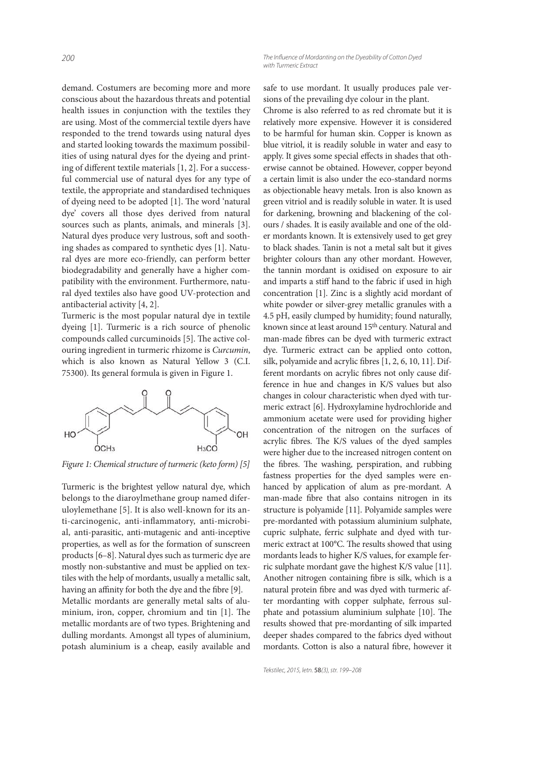demand. Costumers are becoming more and more conscious about the hazardous threats and potential health issues in conjunction with the textiles they are using. Most of the commercial textile dyers have responded to the trend towards using natural dyes and started looking towards the maximum possibilities of using natural dyes for the dyeing and printing of different textile materials  $[1, 2]$ . For a successful commercial use of natural dyes for any type of textile, the appropriate and standardised techniques of dyeing need to be adopted  $[1]$ . The word 'natural dye' covers all those dyes derived from natural sources such as plants, animals, and minerals [3]. Natural dyes produce very lustrous, soft and soothing shades as compared to synthetic dyes [1]. Natural dyes are more eco-friendly, can perform better biodegradability and generally have a higher compatibility with the environment. Furthermore, natural dyed textiles also have good UV-protection and antibacterial activity [4, 2].

Turmeric is the most popular natural dye in textile dyeing [1]. Turmeric is a rich source of phenolic compounds called curcuminoids [5]. The active colouring ingredient in turmeric rhizome is Curcumin, which is also known as Natural Yellow 3 (C.I. 75300). Its general formula is given in Figure 1.



Figure 1: Chemical structure of turmeric (keto form) [5]

Turmeric is the brightest yellow natural dye, which belongs to the diaroylmethane group named diferuloylemethane [5]. It is also well-known for its anti-carcinogenic, anti-inflammatory, anti-microbial, anti-parasitic, anti-mutagenic and anti-inceptive properties, as well as for the formation of sunscreen products [6–8]. Natural dyes such as turmeric dye are mostly non-substantive and must be applied on textiles with the help of mordants, usually a metallic salt, having an affinity for both the dye and the fibre [9].

Metallic mordants are generally metal salts of aluminium, iron, copper, chromium and tin [1]. The metallic mordants are of two types. Brightening and dulling mordants. Amongst all types of aluminium, potash aluminium is a cheap, easily available and safe to use mordant. It usually produces pale versions of the prevailing dye colour in the plant.

Chrome is also referred to as red chromate but it is relatively more expensive. However it is considered to be harmful for human skin. Copper is known as blue vitriol, it is readily soluble in water and easy to apply. It gives some special effects in shades that otherwise cannot be obtained. However, copper beyond a certain limit is also under the eco-standard norms as objectionable heavy metals. Iron is also known as green vitriol and is readily soluble in water. It is used for darkening, browning and blackening of the colours / shades. It is easily available and one of the older mordants known. It is extensively used to get grey to black shades. Tanin is not a metal salt but it gives brighter colours than any other mordant. However, the tannin mordant is oxidised on exposure to air and imparts a stiff hand to the fabric if used in high concentration [1]. Zinc is a slightly acid mordant of white powder or silver-grey metallic granules with a 4.5 pH, easily clumped by humidity; found naturally, known since at least around 15<sup>th</sup> century. Natural and man-made fibres can be dyed with turmeric extract dye. Turmeric extract can be applied onto cotton, silk, polyamide and acrylic fibres [1, 2, 6, 10, 11]. Different mordants on acrylic fibres not only cause difference in hue and changes in K/S values but also changes in colour characteristic when dyed with turmeric extract [6]. Hydroxylamine hydrochloride and ammonium acetate were used for providing higher concentration of the nitrogen on the surfaces of acrylic fibres. The K/S values of the dyed samples were higher due to the increased nitrogen content on the fibres. The washing, perspiration, and rubbing fastness properties for the dyed samples were enhanced by application of alum as pre-mordant. A man-made fibre that also contains nitrogen in its structure is polyamide [11]. Polyamide samples were pre-mordanted with potassium aluminium sulphate, cupric sulphate, ferric sulphate and dyed with turmeric extract at 100°C. The results showed that using mordants leads to higher K/S values, for example ferric sulphate mordant gave the highest K/S value [11]. Another nitrogen containing fibre is silk, which is a natural protein fibre and was dyed with turmeric after mordanting with copper sulphate, ferrous sulphate and potassium aluminium sulphate [10]. The results showed that pre-mordanting of silk imparted deeper shades compared to the fabrics dyed without mordants. Cotton is also a natural fibre, however it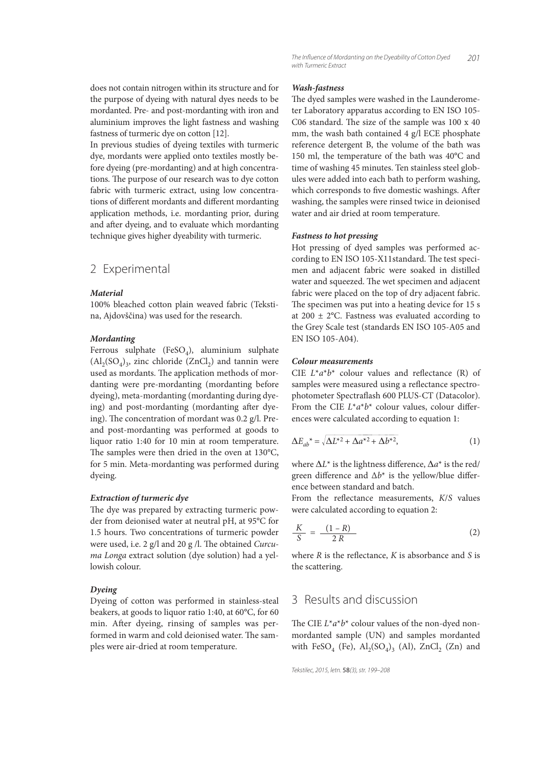does not contain nitrogen within its structure and for the purpose of dyeing with natural dyes needs to be mordanted. Pre- and post-mordanting with iron and aluminium improves the light fastness and washing fastness of turmeric dye on cotton [12].

In previous studies of dyeing textiles with turmeric dye, mordants were applied onto textiles mostly before dyeing (pre-mordanting) and at high concentrations. The purpose of our research was to dye cotton fabric with turmeric extract, using low concentrations of different mordants and different mordanting application methods, i.e. mordanting prior, during and after dyeing, and to evaluate which mordanting technique gives higher dyeability with turmeric.

#### 2 Experimental

#### **Material**

100% bleached cotton plain weaved fabric (Tekstina, Ajdovščina) was used for the research.

#### **Mordanting**

Ferrous sulphate (FeSO<sub>4</sub>), aluminium sulphate  $\left( \text{Al}_2(\text{SO}_4)_{3}, \text{ zinc chloride } (\text{ZnCl}_2) \text{ and tannin were} \right)$ used as mordants. The application methods of mordanting were pre-mordanting (mordanting before dyeing), meta-mordanting (mordanting during dyeing) and post-mordanting (mordanting after dyeing). The concentration of mordant was  $0.2$  g/l. Preand post-mordanting was performed at goods to liquor ratio 1:40 for 10 min at room temperature. The samples were then dried in the oven at  $130^{\circ}$ C, for 5 min. Meta-mordanting was performed during dyeing.

#### **Extraction of turmeric dye**

The dye was prepared by extracting turmeric powder from deionised water at neutral pH, at 95°C for 1.5 hours. Two concentrations of turmeric powder were used, i.e. 2 g/l and 20 g /l. The obtained Curcuma Longa extract solution (dye solution) had a yellowish colour.

#### **Dyeing**

Dyeing of cotton was performed in stainless-steal beakers, at goods to liquor ratio 1:40, at 60°C, for 60 min. After dyeing, rinsing of samples was performed in warm and cold deionised water. The samples were air-dried at room temperature.

#### **Wash-fastness**

The dyed samples were washed in the Launderometer Laboratory apparatus according to EN ISO 105- C06 standard. The size of the sample was  $100 \times 40$ mm, the wash bath contained 4 g/l ECE phosphate reference detergent B, the volume of the bath was 150 ml, the temperature of the bath was 40°C and time of washing 45 minutes. Ten stainless steel globules were added into each bath to perform washing, which corresponds to five domestic washings. After washing, the samples were rinsed twice in deionised water and air dried at room temperature.

#### **Fastness to hot pressing**

Hot pressing of dyed samples was performed according to EN ISO 105-X11standard. The test specimen and adjacent fabric were soaked in distilled water and squeezed. The wet specimen and adjacent fabric were placed on the top of dry adjacent fabric. The specimen was put into a heating device for 15 s at 200  $\pm$  2°C. Fastness was evaluated according to the Grey Scale test (standards EN ISO 105-A05 and EN ISO 105-A04).

#### **Colour measurements**

CIE  $L^*a^*b^*$  colour values and reflectance (R) of samples were measured using a reflectance spectrophotometer Spectraflash 600 PLUS-CT (Datacolor). From the CIE  $L^*a^*b^*$  colour values, colour differences were calculated according to equation 1:

$$
\Delta E_{ab}^* = \sqrt{\Delta L^{*2} + \Delta a^{*2} + \Delta b^{*2}},\tag{1}
$$

where  $\Delta L^*$  is the lightness difference,  $\Delta a^*$  is the red/ green difference and  $\Delta b^*$  is the yellow/blue difference between standard and batch.

From the reflectance measurements,  $K/S$  values were calculated according to equation 2:

$$
\frac{K}{S} = \frac{(1 - R)}{2 R} \tag{2}
$$

where  $R$  is the reflectance,  $K$  is absorbance and  $S$  is the scattering.

## 3 Results and discussion

The CIE  $L^*a^*b^*$  colour values of the non-dyed nonmordanted sample (UN) and samples mordanted with  $FeSO_4$  (Fe),  $Al_2(SO_4)_3$  (Al),  $ZnCl_2$  (Zn) and

```
Tekstilec, 2015, letn. 58(3), str. 199–208
```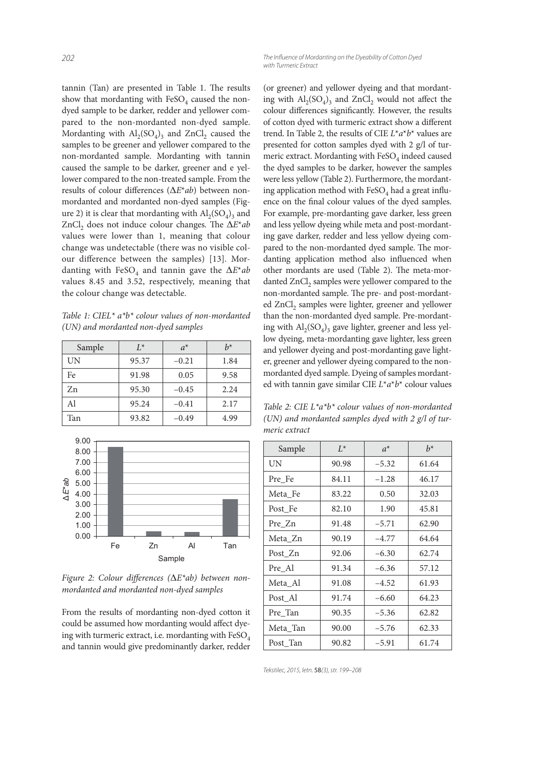tannin (Tan) are presented in Table 1. The results show that mordanting with  $\text{FeSO}_4$  caused the nondyed sample to be darker, redder and yellower compared to the non-mordanted non-dyed sample. Mordanting with  $\text{Al}_2(\text{SO}_4)_3$  and  $\text{ZnCl}_2$  caused the samples to be greener and yellower compared to the non-mordanted sample. Mordanting with tannin caused the sample to be darker, greener and e yellower compared to the non-treated sample. From the results of colour differences (ΔE\*ab) between nonmordanted and mordanted non-dyed samples (Figure 2) it is clear that mordanting with  $\text{Al}_2(\text{SO}_4)_3$  and ZnCl<sub>2</sub> does not induce colour changes. The  $\Delta E^*$ ab values were lower than 1, meaning that colour change was undetectable (there was no visible colour difference between the samples) [13]. Mordanting with FeSO<sub>4</sub> and tannin gave the  $\Delta E^*$ ab values 8.45 and 3.52, respectively, meaning that the colour change was detectable.

Table 1: CIEL\*  $a^*b^*$  colour values of non-mordanted (UN) and mordanted non-dyed samples

| Sample | $L^*$ | $a^*$   | $h^*$ |
|--------|-------|---------|-------|
| UN     | 95.37 | $-0.21$ | 1.84  |
| Fe     | 91.98 | 0.05    | 9.58  |
| Zn     | 95.30 | $-0.45$ | 2.24  |
| Al     | 95.24 | $-0.41$ | 2.17  |
| Tan    | 93.82 | $-0.49$ | 4.99  |



Figure 2: Colour differences ( $\Delta E^*$ ab) between nonmordanted and mordanted non-dyed samples

From the results of mordanting non-dyed cotton it could be assumed how mordanting would affect dyeing with turmeric extract, i.e. mordanting with FeSO<sub>4</sub> and tannin would give predominantly darker, redder

(or greener) and yellower dyeing and that mordanting with  $\text{Al}_2(\text{SO}_4)$ <sub>3</sub> and  $\text{ZnCl}_2$  would not affect the colour differences significantly. However, the results of cotton dyed with turmeric extract show a different trend. In Table 2, the results of CIE  $L^*a^*b^*$  values are presented for cotton samples dyed with 2 g/l of turmeric extract. Mordanting with  $\mathrm{FeSO}_4$  indeed caused the dyed samples to be darker, however the samples were less yellow (Table 2). Furthermore, the mordanting application method with  $\mathrm{FeSO}_4$  had a great influence on the final colour values of the dyed samples. For example, pre-mordanting gave darker, less green and less yellow dyeing while meta and post-mordanting gave darker, redder and less yellow dyeing compared to the non-mordanted dyed sample. The mordanting application method also influenced when other mordants are used (Table 2). The meta-mordanted  $ZnCl<sub>2</sub>$  samples were yellower compared to the non-mordanted sample. The pre- and post-mordanted ZnCl<sub>2</sub> samples were lighter, greener and yellower than the non-mordanted dyed sample. Pre-mordanting with  $\text{Al}_2(\text{SO}_4)$ <sub>3</sub> gave lighter, greener and less yellow dyeing, meta-mordanting gave lighter, less green and yellower dyeing and post-mordanting gave lighter, greener and yellower dyeing compared to the nonmordanted dyed sample. Dyeing of samples mordanted with tannin gave similar CIE  $L^* a^* b^*$  colour values

Table 2: CIE  $L^*a^*b^*$  colour values of non-mordanted (UN) and mordanted samples dyed with 2 g/l of turmeric extract

| Sample   | $L^*$ | $a^*$   | $h^*$ |
|----------|-------|---------|-------|
| UN       | 90.98 | $-5.32$ | 61.64 |
| Pre Fe   | 84.11 | $-1.28$ | 46.17 |
| Meta Fe  | 83.22 | 0.50    | 32.03 |
| Post Fe  | 82.10 | 1.90    | 45.81 |
| Pre Zn   | 91.48 | $-5.71$ | 62.90 |
| Meta Zn  | 90.19 | $-4.77$ | 64.64 |
| Post_Zn  | 92.06 | $-6.30$ | 62.74 |
| Pre_Al   | 91.34 | $-6.36$ | 57.12 |
| Meta Al  | 91.08 | $-4.52$ | 61.93 |
| Post Al  | 91.74 | $-6.60$ | 64.23 |
| Pre_Tan  | 90.35 | $-5.36$ | 62.82 |
| Meta Tan | 90.00 | $-5.76$ | 62.33 |
| Post_Tan | 90.82 | $-5.91$ | 61.74 |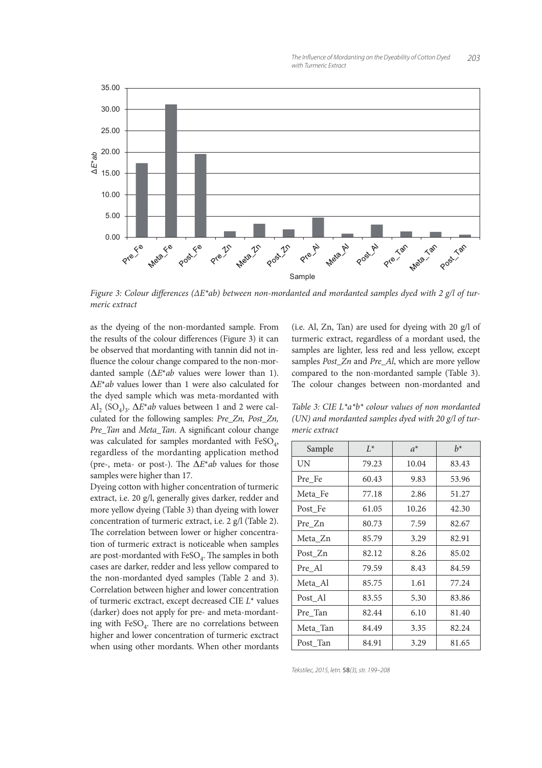

Figure 3: Colour differences ( $\Delta E^*$ ab) between non-mordanted and mordanted samples dyed with 2 g/l of turmeric extract

as the dyeing of the non-mordanted sample. From the results of the colour differences (Figure 3) it can be observed that mordanting with tannin did not in fluence the colour change compared to the non-mordanted sample (∆E\*ab values were lower than 1). ∆E\*ab values lower than 1 were also calculated for the dyed sample which was meta-mordanted with  $\text{Al}_2$  (SO<sub>4</sub>)<sub>3</sub>.  $\Delta E^*$ *ab* values between 1 and 2 were calculated for the following samples: Pre\_Zn, Post\_Zn, Pre\_Tan and Meta\_Tan. A significant colour change was calculated for samples mordanted with  $FeSO_4$ , regardless of the mordanting application method (pre-, meta- or post-). The  $\Delta E^*$ ab values for those samples were higher than 17.

Dyeing cotton with higher concentration of turmeric extract, i.e. 20 g/l, generally gives darker, redder and more yellow dyeing (Table 3) than dyeing with lower concentration of turmeric extract, i.e. 2 g/l (Table 2). The correlation between lower or higher concentration of turmeric extract is noticeable when samples are post-mordanted with  $\text{FeSO}_4$ . The samples in both cases are darker, redder and less yellow compared to the non-mordanted dyed samples (Table 2 and 3). Correlation between higher and lower concentration of turmeric exctract, except decreased CIE L\* values (darker) does not apply for pre- and meta-mordanting with FeSO<sub>4</sub>. There are no correlations between higher and lower concentration of turmeric exctract when using other mordants. When other mordants

(i.e. Al, Zn, Tan) are used for dyeing with 20 g/l of turmeric extract, regardless of a mordant used, the samples are lighter, less red and less yellow, except samples Post\_Zn and Pre\_Al, which are more yellow compared to the non-mordanted sample (Table 3). The colour changes between non-mordanted and

Table 3: CIE  $L^*a^*b^*$  colour values of non mordanted (UN) and mordanted samples dyed with 20 g/l of turmeric extract

| Sample   | $L^*$ | $a^*$ | $h^*$ |
|----------|-------|-------|-------|
| UN       | 79.23 | 10.04 | 83.43 |
| Pre Fe   | 60.43 | 9.83  | 53.96 |
| Meta Fe  | 77.18 | 2.86  | 51.27 |
| Post_Fe  | 61.05 | 10.26 | 42.30 |
| Pre_Zn   | 80.73 | 7.59  | 82.67 |
| Meta Zn  | 85.79 | 3.29  | 82.91 |
| Post_Zn  | 82.12 | 8.26  | 85.02 |
| Pre Al   | 79.59 | 8.43  | 84.59 |
| Meta_Al  | 85.75 | 1.61  | 77.24 |
| Post Al  | 83.55 | 5.30  | 83.86 |
| Pre_Tan  | 82.44 | 6.10  | 81.40 |
| Meta Tan | 84.49 | 3.35  | 82.24 |
| Post Tan | 84.91 | 3.29  | 81.65 |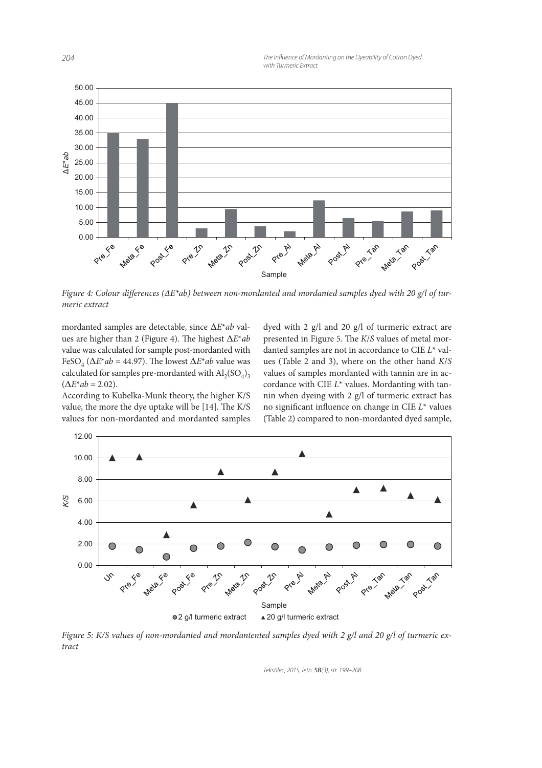

Figure 4: Colour differences ( $\Delta E^*$ ab) between non-mordanted and mordanted samples dyed with 20 g/l of turmeric extract

mordanted samples are detectable, since ∆E\*ab values are higher than 2 (Figure 4). The highest  $\Delta E^*$ ab value was calculated for sample post-mordanted with FeSO<sub>4</sub> ( $\Delta E^*$ *ab* = 44.97). The lowest  $\Delta E^*$ *ab* value was calculated for samples pre-mordanted with  $\operatorname{Al}_2(\mathrm{SO}_4)_3$  $(\Delta E^*ab = 2.02).$ 

According to Kubelka-Munk theory, the higher K/S value, the more the dye uptake will be  $[14]$ . The K/S values for non-mordanted and mordanted samples dyed with 2 g/l and 20 g/l of turmeric extract are presented in Figure 5. The  $K/S$  values of metal mordanted samples are not in accordance to CIE L\* values (Table 2 and 3), where on the other hand K/S values of samples mordanted with tannin are in accordance with CIE  $L^*$  values. Mordanting with tannin when dyeing with 2 g/l of turmeric extract has no significant influence on change in CIE  $L^*$  values (Table 2) compared to non-mordanted dyed sample,



Figure 5: K/S values of non-mordanted and mordantented samples dyed with 2 g/l and 20 g/l of turmeric extract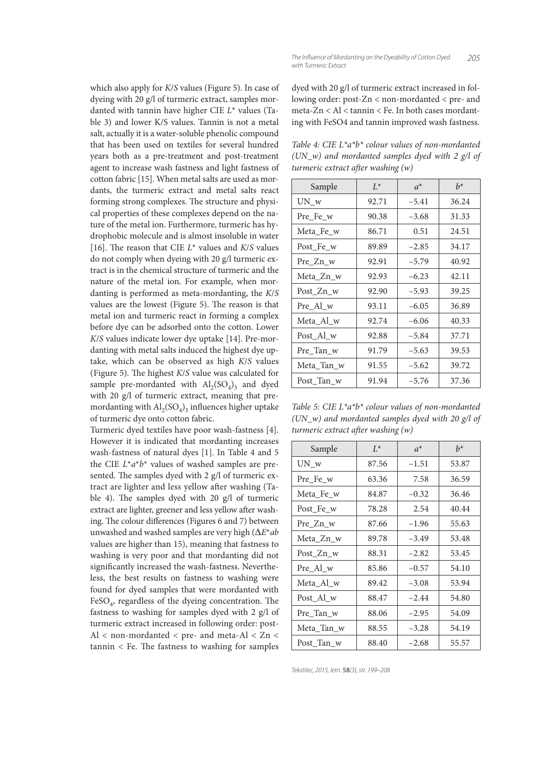which also apply for K/S values (Figure 5). In case of dyeing with 20 g/l of turmeric extract, samples mordanted with tannin have higher CIE  $L^*$  values (Table 3) and lower K/S values. Tannin is not a metal salt, actually it is a water-soluble phenolic compound that has been used on textiles for several hundred years both as a pre-treatment and post-treatment agent to increase wash fastness and light fastness of cotton fabric [15]. When metal salts are used as mordants, the turmeric extract and metal salts react forming strong complexes. The structure and physical properties of these complexes depend on the nature of the metal ion. Furthermore, turmeric has hydrophobic molecule and is almost insoluble in water [16]. The reason that CIE  $L^*$  values and  $K/S$  values do not comply when dyeing with 20 g/l turmeric extract is in the chemical structure of turmeric and the nature of the metal ion. For example, when mordanting is performed as meta-mordanting, the K/S values are the lowest (Figure 5). The reason is that metal ion and turmeric react in forming a complex before dye can be adsorbed onto the cotton. Lower K/S values indicate lower dye uptake [14]. Pre-mordanting with metal salts induced the highest dye uptake, which can be observed as high K/S values (Figure 5). The highest  $K/S$  value was calculated for sample pre-mordanted with  $\text{Al}_2(\text{SO}_4)_3$  and dyed with 20 g/l of turmeric extract, meaning that premordanting with  $\mathrm{Al}_2(\mathrm{SO}_4)_3$  influences higher uptake of turmeric dye onto cotton fabric.

Turmeric dyed textiles have poor wash-fastness [4]. However it is indicated that mordanting increases wash-fastness of natural dyes [1]. In Table 4 and 5 the CIE  $L^*a^*b^*$  values of washed samples are presented. The samples dyed with 2  $g/l$  of turmeric extract are lighter and less yellow after washing (Table 4). The samples dyed with 20  $g/l$  of turmeric extract are lighter, greener and less yellow after washing. The colour differences (Figures 6 and 7) between unwashed and washed samples are very high (∆E\*ab values are higher than 15), meaning that fastness to washing is very poor and that mordanting did not significantly increased the wash-fastness. Nevertheless, the best results on fastness to washing were found for dyed samples that were mordanted with FeSO<sub>4</sub>, regardless of the dyeing concentration. The fastness to washing for samples dyed with 2 g/l of turmeric extract increased in following order: post-Al < non-mordanted < pre- and meta-Al < Zn <  $tannin <$  Fe. The fastness to washing for samples

dyed with 20 g/l of turmeric extract increased in following order: post-Zn < non-mordanted < pre- and meta-Zn < Al < tannin < Fe. In both cases mordanting with FeSO4 and tannin improved wash fastness.

Table 4: CIE  $L^*a^*b^*$  colour values of non-mordanted (UN w) and mordanted samples dyed with 2 g/l of turmeric extract after washing  $(w)$ 

| Sample     | $I^*$ | $a^*$   | $h^*$ |
|------------|-------|---------|-------|
| $UN_w$     | 92.71 | $-5.41$ | 36.24 |
| Pre Fe w   | 90.38 | $-3.68$ | 31.33 |
| Meta Fe w  | 86.71 | 0.51    | 24.51 |
| Post Fe w  | 89.89 | $-2.85$ | 34.17 |
| Pre Zn w   | 92.91 | $-5.79$ | 40.92 |
| Meta Zn w  | 92.93 | $-6.23$ | 42.11 |
| Post Zn w  | 92.90 | $-5.93$ | 39.25 |
| Pre Al w   | 93.11 | $-6.05$ | 36.89 |
| Meta_Al_w  | 92.74 | $-6.06$ | 40.33 |
| Post Al w  | 92.88 | $-5.84$ | 37.71 |
| Pre_Tan_w  | 91.79 | $-5.63$ | 39.53 |
| Meta Tan w | 91.55 | $-5.62$ | 39.72 |
| Post Tan w | 91.94 | $-5.76$ | 37.36 |

Table 5: CIE  $L^*a^*b^*$  colour values of non-mordanted  $(UN_w)$  and mordanted samples dyed with 20 g/l of turmeric extract after washing  $(w)$ 

| Sample     | $L^*$ | $a^*$   | $h^*$ |
|------------|-------|---------|-------|
| $UN_w$     | 87.56 | $-1.51$ | 53.87 |
| Pre Fe w   | 63.36 | 7.58    | 36.59 |
| Meta Fe w  | 84.87 | $-0.32$ | 36.46 |
| Post Fe w  | 78.28 | 2.54    | 40.44 |
| Pre Zn w   | 87.66 | $-1.96$ | 55.63 |
| Meta Zn w  | 89.78 | $-3.49$ | 53.48 |
| Post Zn w  | 88.31 | $-2.82$ | 53.45 |
| Pre Al w   | 85.86 | $-0.57$ | 54.10 |
| Meta_Al_w  | 89.42 | $-3.08$ | 53.94 |
| Post Al w  | 88.47 | $-2.44$ | 54.80 |
| Pre_Tan_w  | 88.06 | $-2.95$ | 54.09 |
| Meta Tan w | 88.55 | $-3.28$ | 54.19 |
| Post Tan w | 88.40 | $-2.68$ | 55.57 |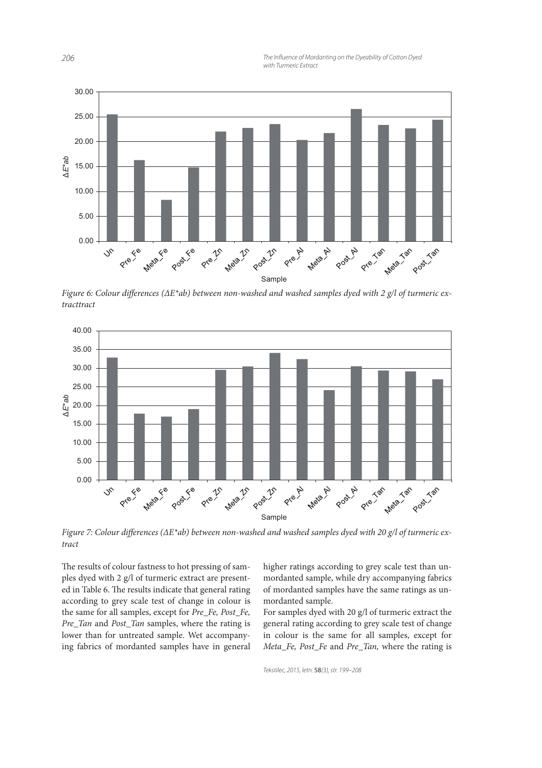**206** 206 *ZOG ZOG ZOG ZOG ZOG Dyedbility of Cotton Dyed Dyedbility of Cotton Dyed Dyedbility of Cotton Dyed with Turmeric Extract*



Figure 6: Colour differences ( $\Delta E^*$ ab) between non-washed and washed samples dyed with 2 g/l of turmeric extract



Figure 7: Colour differences ( $\Delta E^*$ ab) between non-washed and washed samples dyed with 20 g/l of turmeric extract

The results of colour fastness to hot pressing of samples dyed with 2 g/l of turmeric extract are presented in Table 6. The results indicate that general rating according to grey scale test of change in colour is the same for all samples, except for Pre\_Fe, Post\_Fe, Pre Tan and Post Tan samples, where the rating is lower than for untreated sample. Wet accompanying fabrics of mordanted samples have in general higher ratings according to grey scale test than unmordanted sample, while dry accompanying fabrics of mordanted samples have the same ratings as unmordanted sample.

For samples dyed with 20 g/l of turmeric extract the general rating according to grey scale test of change in colour is the same for all samples, except for Meta\_Fe, Post\_Fe and Pre\_Tan, where the rating is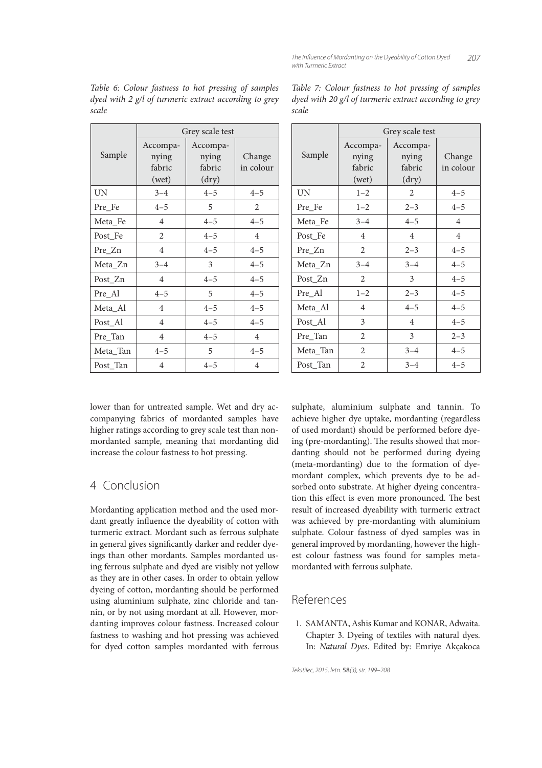|           | Grey scale test                      |                                      |                     |
|-----------|--------------------------------------|--------------------------------------|---------------------|
| Sample    | Accompa-<br>nying<br>fabric<br>(wet) | Accompa-<br>nying<br>fabric<br>(dry) | Change<br>in colour |
| <b>UN</b> | $3 - 4$                              | $4 - 5$                              | $4 - 5$             |
| Pre_Fe    | $4 - 5$                              | 5                                    | $\overline{2}$      |
| Meta_Fe   | $\overline{4}$                       | $4 - 5$                              | $4 - 5$             |
| Post_Fe   | $\overline{2}$                       | $4 - 5$                              | $\overline{4}$      |
| Pre_Zn    | $\overline{4}$                       | $4 - 5$                              | $4 - 5$             |
| Meta_Zn   | $3 - 4$                              | 3                                    | $4 - 5$             |
| Post_Zn   | $\overline{4}$                       | $4 - 5$                              | $4 - 5$             |
| Pre_Al    | $4 - 5$                              | 5                                    | $4 - 5$             |
| Meta_Al   | $\overline{4}$                       | $4 - 5$                              | $4 - 5$             |
| Post_Al   | $\overline{4}$                       | $4 - 5$                              | $4 - 5$             |
| Pre_Tan   | 4                                    | $4 - 5$                              | $\overline{4}$      |
| Meta_Tan  | $4 - 5$                              | 5                                    | $4 - 5$             |
| Post_Tan  | 4                                    | $4 - 5$                              | $\overline{4}$      |

Table 6: Colour fastness to hot pressing of samples dyed with 2 g/l of turmeric extract according to grey scale

|           | Grey scale test |                |                |  |
|-----------|-----------------|----------------|----------------|--|
| Sample    | Accompa-        | Accompa-       |                |  |
|           | nying           | nying          | Change         |  |
|           | fabric          | fabric         | in colour      |  |
|           | (wet)           | (dry)          |                |  |
| <b>UN</b> | $1 - 2$         | 2              | $4 - 5$        |  |
| Pre_Fe    | $1 - 2$         | $2 - 3$        | $4 - 5$        |  |
| Meta_Fe   | $3 - 4$         | $4 - 5$        | $\overline{4}$ |  |
| Post_Fe   | $\overline{4}$  | $\overline{4}$ | $\overline{4}$ |  |
| Pre_Zn    | 2               | $2 - 3$        | $4 - 5$        |  |
| Meta_Zn   | $3 - 4$         | $3 - 4$        | $4 - 5$        |  |
| Post_Zn   | 2               | 3              | $4 - 5$        |  |
| Pre_Al    | $1 - 2$         | $2 - 3$        | $4 - 5$        |  |
| Meta_Al   | $\overline{4}$  | $4 - 5$        | $4 - 5$        |  |
| Post_Al   | 3               | 4              | $4 - 5$        |  |
| Pre_Tan   | 2               | 3              | $2 - 3$        |  |
| Meta_Tan  | 2               | $3 - 4$        | $4 - 5$        |  |
| Post Tan  | $\overline{2}$  | $3 - 4$        | $4 - 5$        |  |

Table 7: Colour fastness to hot pressing of samples dyed with 20 g/l of turmeric extract according to grey scale

lower than for untreated sample. Wet and dry accompanying fabrics of mordanted samples have higher ratings according to grey scale test than nonmordanted sample, meaning that mordanting did increase the colour fastness to hot pressing.

## 4 Conclusion

Mordanting application method and the used mordant greatly influence the dyeability of cotton with turmeric extract. Mordant such as ferrous sulphate in general gives significantly darker and redder dyeings than other mordants. Samples mordanted using ferrous sulphate and dyed are visibly not yellow as they are in other cases. In order to obtain yellow dyeing of cotton, mordanting should be performed using aluminium sulphate, zinc chloride and tannin, or by not using mordant at all. However, mordanting improves colour fastness. Increased colour fastness to washing and hot pressing was achieved for dyed cotton samples mordanted with ferrous

sulphate, aluminium sulphate and tannin. To achieve higher dye uptake, mordanting (regardless of used mordant) should be performed before dyeing (pre-mordanting). The results showed that mordanting should not be performed during dyeing (meta-mordanting) due to the formation of dyemordant complex, which prevents dye to be adsorbed onto substrate. At higher dyeing concentration this effect is even more pronounced. The best result of increased dyeability with turmeric extract was achieved by pre-mordanting with aluminium sulphate. Colour fastness of dyed samples was in general improved by mordanting, however the highest colour fastness was found for samples metamordanted with ferrous sulphate.

# References

 1. SAMANTA, Ashis Kumar and KONAR, Adwaita. Chapter 3. Dyeing of textiles with natural dyes. In: Natural Dyes. Edited by: Emriye Akçakoca